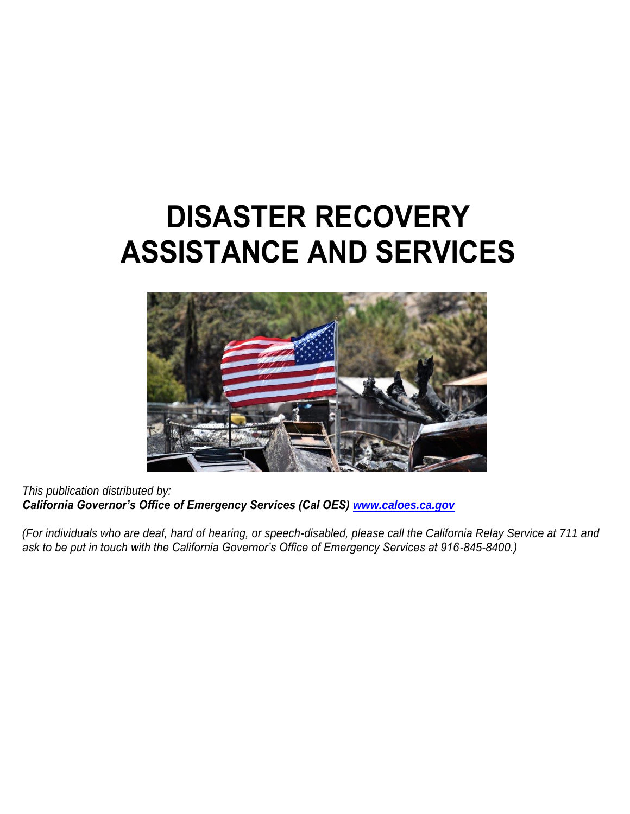# **DISASTER RECOVERY ASSISTANCE AND SERVICES**



*This publication distributed by: California Governor's Office of Emergency Services (Cal OES) [www.caloes.ca.gov](http://www.caloes.ca.gov/)*

*(For individuals who are deaf, hard of hearing, or speech-disabled, please call the California Relay Service at 711 and ask to be put in touch with the California Governor's Office of Emergency Services at 916-845-8400.)*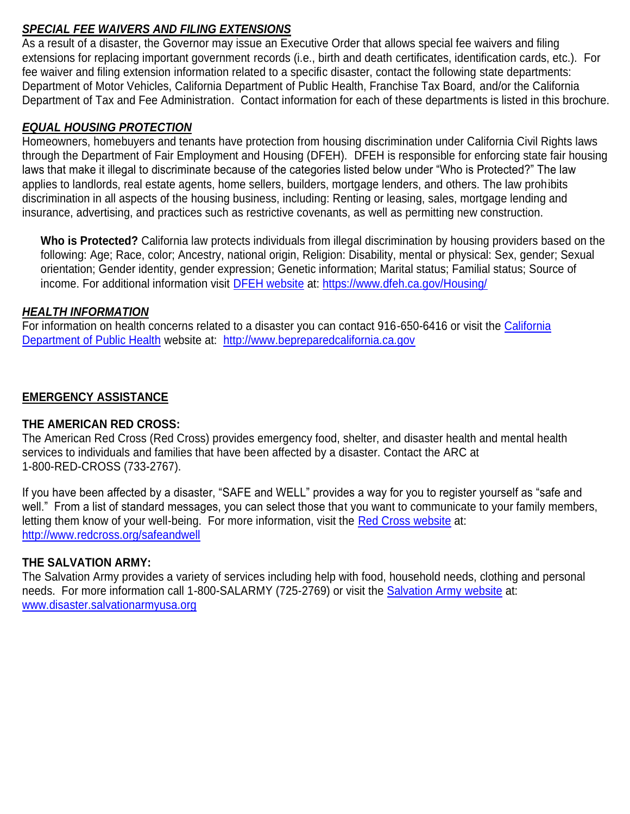# *SPECIAL FEE WAIVERS AND FILING EXTENSIONS*

As a result of a disaster, the Governor may issue an Executive Order that allows special fee waivers and filing extensions for replacing important government records (i.e., birth and death certificates, identification cards, etc.). For fee waiver and filing extension information related to a specific disaster, contact the following state departments: Department of Motor Vehicles, California Department of Public Health, Franchise Tax Board, and/or the California Department of Tax and Fee Administration. Contact information for each of these departments is listed in this brochure.

# *EQUAL HOUSING PROTECTION*

Homeowners, homebuyers and tenants have protection from housing discrimination under California Civil Rights laws through the Department of Fair Employment and Housing (DFEH). DFEH is responsible for enforcing state fair housing laws that make it illegal to discriminate because of the categories listed below under "Who is Protected?" The law applies to landlords, real estate agents, home sellers, builders, mortgage lenders, and others. The law prohibits discrimination in all aspects of the housing business, including: Renting or leasing, sales, mortgage lending and insurance, advertising, and practices such as restrictive covenants, as well as permitting new construction.

**Who is Protected?** California law protects individuals from illegal discrimination by housing providers based on the following: Age; Race, color; Ancestry, national origin, Religion: Disability, mental or physical: Sex, gender; Sexual orientation; Gender identity, gender expression; Genetic information; Marital status; Familial status; Source of income. For additional information visit [DFEH website](https://na01.safelinks.protection.outlook.com/?url=https%3A%2F%2Fwww.dfeh.ca.gov%2FHousing%2F&data=01%7C01%7CKatrina.Palomar%40CalOES.ca.gov%7C495e18285e9f428afbdb08d49349541c%7Cebf268ae303647149f69c9fd0e9dc6b9%7C1&sdata=Ta97ZafUtkOAEdaqOsmCqMFGXxXoagrQoRceKKMI%2BpQ%3D&reserved=0) at: [https://www.dfeh.ca.gov/Housing/](https://na01.safelinks.protection.outlook.com/?url=https%3A%2F%2Fwww.dfeh.ca.gov%2FHousing%2F&data=01%7C01%7CKatrina.Palomar%40CalOES.ca.gov%7C495e18285e9f428afbdb08d49349541c%7Cebf268ae303647149f69c9fd0e9dc6b9%7C1&sdata=Ta97ZafUtkOAEdaqOsmCqMFGXxXoagrQoRceKKMI%2BpQ%3D&reserved=0)

## *HEALTH INFORMATION*

For information on health concerns related to a disaster you can contact 916-650-6416 or visit the [California](http://www.bepreparedcalifornia.ca.gov/)  [Department of Public Health](http://www.bepreparedcalifornia.ca.gov/) website at: [http://www.bepreparedcalifornia.ca.gov](http://www.bepreparedcalifornia.ca.gov/)

# **EMERGENCY ASSISTANCE**

## **THE AMERICAN RED CROSS:**

The American Red Cross (Red Cross) provides emergency food, shelter, and disaster health and mental health services to individuals and families that have been affected by a disaster. Contact the ARC at 1-800-RED-CROSS (733-2767).

If you have been affected by a disaster, "SAFE and WELL" provides a way for you to register yourself as "safe and well." From a list of standard messages, you can select those that you want to communicate to your family members, letting them know of your well-being. For more information, visit the [Red Cross website](http://www.redcross.org/safeandwell) at: <http://www.redcross.org/safeandwell>

# **THE SALVATION ARMY:**

The Salvation Army provides a variety of services including help with food, household needs, clothing and personal needs. For more information call 1-800-SALARMY (725-2769) or visit the **Salvation Army website** at: [www.disaster.salvationarmyusa.org](http://www.disaster.salvationarmyusa.org/)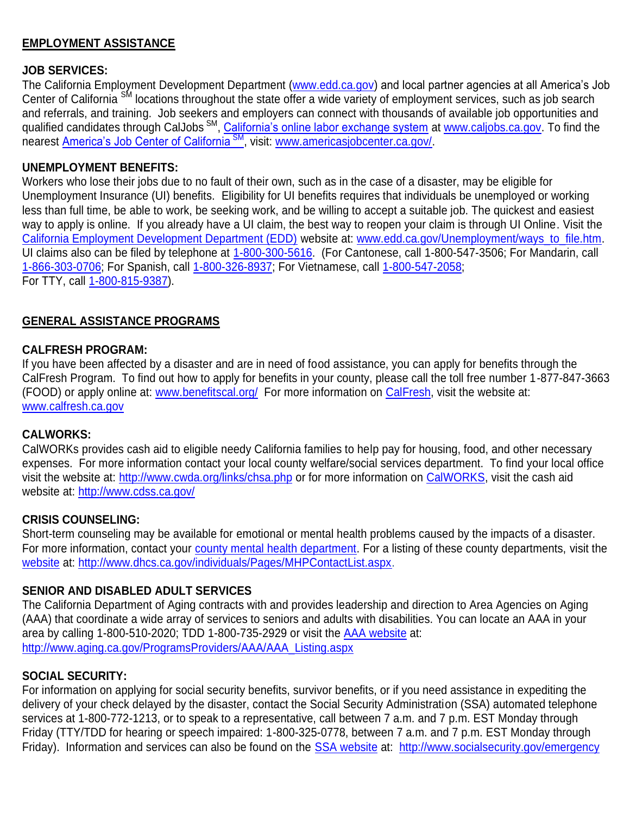# **EMPLOYMENT ASSISTANCE**

## **JOB SERVICES:**

The California Employment Development Department [\(www.edd.ca.gov\)](http://www.edd.ca.gov/) and local partner agencies at all America's Job Center of California SM locations throughout the state offer a wide variety of employment services, such as job search and referrals, and training. Job seekers and employers can connect with thousands of available job opportunities and qualified candidates through CalJobs <sup>SM</sup>, [California's online labor exchange system](http://www.caljobs.ca.gov/) at [www.caljobs.ca.gov.](http://www.caljobs.ca.gov/) To find the nearest [America's Job Center of California](http://www.americasjobcenter.ca.gov/)<sup>SM</sup>, visit: [www.americasjobcenter.ca.gov/.](http://www.americasjobcenter.ca.gov/)

#### **UNEMPLOYMENT BENEFITS:**

Workers who lose their jobs due to no fault of their own, such as in the case of a disaster, may be eligible for Unemployment Insurance (UI) benefits. Eligibility for UI benefits requires that individuals be unemployed or working less than full time, be able to work, be seeking work, and be willing to accept a suitable job. The quickest and easiest way to apply is online. If you already have a UI claim, the best way to reopen your claim is through UI Online. Visit the [California Employment Development Department \(EDD\)](http://www.edd.ca.gov/) website at: [www.edd.ca.gov/Unemployment/ways\\_to\\_file.htm.](http://www.edd.ca.gov/Unemployment/ways_to_file.htm) UI claims also can be filed by telephone at [1-800-300-5616.](tel:1%E2%80%91800%E2%80%91300%E2%80%915616) (For Cantonese, call 1-800-547-3506; For Mandarin, call [1-866-303-0706;](tel:1-866-303-0706) For Spanish, call [1-800-326-8937;](tel:1%E2%80%91800%E2%80%91326-8937) For Vietnamese, call [1-800-547-2058;](tel:1-800-547-2058) For TTY, call [1-800-815-9387\)](tel:1%E2%80%91800%E2%80%91815%E2%80%919387).

## **GENERAL ASSISTANCE PROGRAMS**

## **CALFRESH PROGRAM:**

If you have been affected by a disaster and are in need of food assistance, you can apply for benefits through the CalFresh Program. To find out how to apply for benefits in your county, please call the toll free number 1-877-847-3663 (FOOD) or apply online at: [www.benefitscal.org/](http://www.benefitscal.org/) For more information on [CalFresh,](http://www.calfresh.ca.gov/) visit the website at: [www.calfresh.ca.gov](http://www.calfresh.ca.gov/)

#### **CALWORKS:**

CalWORKs provides cash aid to eligible needy California families to help pay for housing, food, and other necessary expenses. For more information contact your local county welfare/social services department. To find your local office visit the website at:<http://www.cwda.org/links/chsa.php> or for more information on [CalWORKS,](http://www.cdss.ca.gov/) visit the cash aid website at:<http://www.cdss.ca.gov/>

## **CRISIS COUNSELING:**

Short-term counseling may be available for emotional or mental health problems caused by the impacts of a disaster. For more information, contact your [county mental health department.](https://na01.safelinks.protection.outlook.com/?url=http%3A%2F%2Fwww.dhcs.ca.gov%2Findividuals%2FPages%2FMHPContactList.aspx&data=01%7C01%7CKatrina.Palomar%40CalOES.ca.gov%7C0376ff1293bf4659ec7b08d43bd40cb1%7Cebf268ae303647149f69c9fd0e9dc6b9%7C1&sdata=2bdvbKXnSYh8WWqvic3E4qFQYfQWHykf9VSGN3giw%2BY%3D&reserved=0) For a listing of these county departments, visit the [website](https://na01.safelinks.protection.outlook.com/?url=http%3A%2F%2Fwww.dhcs.ca.gov%2Findividuals%2FPages%2FMHPContactList.aspx&data=01%7C01%7CKatrina.Palomar%40CalOES.ca.gov%7C0376ff1293bf4659ec7b08d43bd40cb1%7Cebf268ae303647149f69c9fd0e9dc6b9%7C1&sdata=2bdvbKXnSYh8WWqvic3E4qFQYfQWHykf9VSGN3giw%2BY%3D&reserved=0) at: [http://www.dhcs.ca.gov/individuals/Pages/MHPContactList.aspx.](https://na01.safelinks.protection.outlook.com/?url=http%3A%2F%2Fwww.dhcs.ca.gov%2Findividuals%2FPages%2FMHPContactList.aspx&data=01%7C01%7CKatrina.Palomar%40CalOES.ca.gov%7C0376ff1293bf4659ec7b08d43bd40cb1%7Cebf268ae303647149f69c9fd0e9dc6b9%7C1&sdata=2bdvbKXnSYh8WWqvic3E4qFQYfQWHykf9VSGN3giw%2BY%3D&reserved=0)

## **SENIOR AND DISABLED ADULT SERVICES**

The California Department of Aging contracts with and provides leadership and direction to Area Agencies on Aging (AAA) that coordinate a wide array of services to seniors and adults with disabilities. You can locate an AAA in your area by calling 1-800-510-2020; TDD 1-800-735-2929 or visit the [AAA website](http://www.aging.ca.gov/ProgramsProviders/AAA/AAA_Listing.aspx) at: [http://www.aging.ca.gov/ProgramsProviders/AAA/AAA\\_Listing.aspx](http://www.aging.ca.gov/ProgramsProviders/AAA/AAA_Listing.aspx)

## **SOCIAL SECURITY:**

For information on applying for social security benefits, survivor benefits, or if you need assistance in expediting the delivery of your check delayed by the disaster, contact the Social Security Administration (SSA) automated telephone services at 1-800-772-1213, or to speak to a representative, call between 7 a.m. and 7 p.m. EST Monday through Friday (TTY/TDD for hearing or speech impaired: 1-800-325-0778, between 7 a.m. and 7 p.m. EST Monday through Friday). Information and services can also be found on the [SSA website](http://www.socialsecurity.gov/emergency) at: <http://www.socialsecurity.gov/emergency>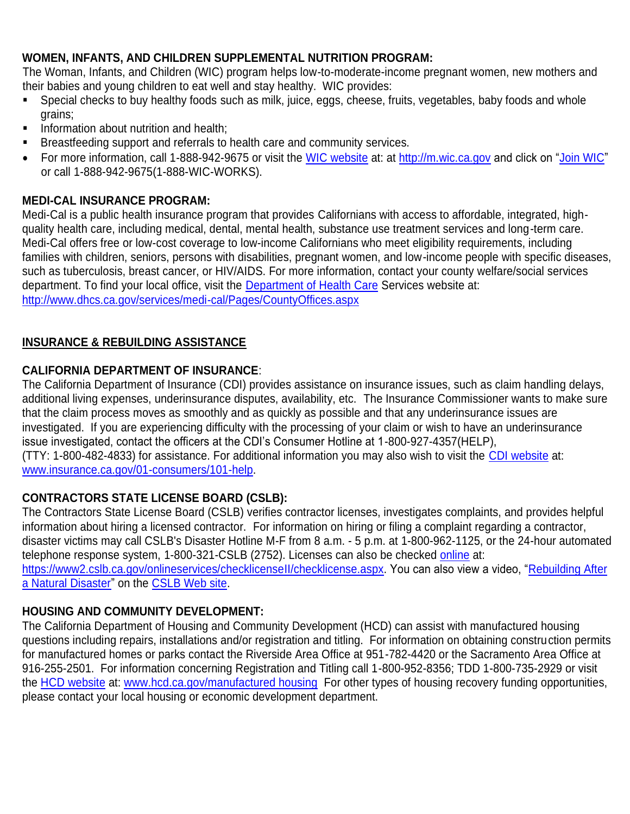# **WOMEN, INFANTS, AND CHILDREN SUPPLEMENTAL NUTRITION PROGRAM:**

The Woman, Infants, and Children (WIC) program helps low-to-moderate-income pregnant women, new mothers and their babies and young children to eat well and stay healthy. WIC provides:

- Special checks to buy healthy foods such as milk, juice, eggs, cheese, fruits, vegetables, baby foods and whole grains;
- **Information about nutrition and health;**
- **Breastfeeding support and referrals to health care and community services.**
- For more information, call 1-888-942-9675 or visit the [WIC website](http://m.wic.ca.gov/) at: at [http://m.wic.ca.gov](http://m.wic.ca.gov/) and click on ["Join WIC"](https://m.wic.ca.gov/JoinWIC/JoinWIC.aspx) or call 1-888-942-9675(1-888-WIC-WORKS).

# **MEDI-CAL INSURANCE PROGRAM:**

Medi-Cal is a public health insurance program that provides Californians with access to affordable, integrated, highquality health care, including medical, dental, mental health, substance use treatment services and long-term care. Medi-Cal offers free or low-cost coverage to low-income Californians who meet eligibility requirements, including families with children, seniors, persons with disabilities, pregnant women, and low-income people with specific diseases, such as tuberculosis, breast cancer, or HIV/AIDS. For more information, contact your county welfare/social services department. To find your local office, visit the [Department of Health Care](https://na01.safelinks.protection.outlook.com/?url=http%3A%2F%2Fwww.dhcs.ca.gov%2Fservices%2Fmedi-cal%2FPages%2FCountyOffices.aspx&data=01%7C01%7CKatrina.Palomar%40CalOES.ca.gov%7C0376ff1293bf4659ec7b08d43bd40cb1%7Cebf268ae303647149f69c9fd0e9dc6b9%7C1&sdata=5kvOMKdl6mnGELYR8kg1EeijpxcwPfVXtrYnyfn1WR8%3D&reserved=0) Services website at: [http://www.dhcs.ca.gov/services/medi-cal/Pages/CountyOffices.aspx](https://na01.safelinks.protection.outlook.com/?url=http%3A%2F%2Fwww.dhcs.ca.gov%2Fservices%2Fmedi-cal%2FPages%2FCountyOffices.aspx&data=01%7C01%7CKatrina.Palomar%40CalOES.ca.gov%7C0376ff1293bf4659ec7b08d43bd40cb1%7Cebf268ae303647149f69c9fd0e9dc6b9%7C1&sdata=5kvOMKdl6mnGELYR8kg1EeijpxcwPfVXtrYnyfn1WR8%3D&reserved=0)

# **INSURANCE & REBUILDING ASSISTANCE**

# **CALIFORNIA DEPARTMENT OF INSURANCE**:

The California Department of Insurance (CDI) provides assistance on insurance issues, such as claim handling delays, additional living expenses, underinsurance disputes, availability, etc. The Insurance Commissioner wants to make sure that the claim process moves as smoothly and as quickly as possible and that any underinsurance issues are investigated. If you are experiencing difficulty with the processing of your claim or wish to have an underinsurance issue investigated, contact the officers at the CDI's Consumer Hotline at 1-800-927-4357(HELP), (TTY: 1-800-482-4833) for assistance. For additional information you may also wish to visit the [CDI website](https://na01.safelinks.protection.outlook.com/?url=http%3A%2F%2Fwww.insurance.ca.gov%2F&data=01%7C01%7CKatrina.Palomar%40CalOES.ca.gov%7Cf3456e34e9e54936962308d43f21ab11%7Cebf268ae303647149f69c9fd0e9dc6b9%7C1&sdata=hP6EzBqwlEuaxiWvyJSwhju%2FhCBdOeXn8h9hHzBUGO8%3D&reserved=0) at: [www.insurance.ca.gov/01-consumers/101-help.](http://www.insurance.ca.gov/01-consumers/101-help)

# **[CONTRACTORS STATE LICENSE BOARD](http://www.cslb.ca.gov/) (CSLB):**

The Contractors State License Board (CSLB) verifies contractor licenses, investigates complaints, and provides helpful information about hiring a licensed contractor. For information on hiring or filing a complaint regarding a contractor, disaster victims may call CSLB's Disaster Hotline M-F from 8 a.m. - 5 p.m. at 1-800-962-1125, or the 24-hour automated telephone response system, 1-800-321-CSLB (2752). Licenses can also be checked [online](https://www2.cslb.ca.gov/onlineservices/checklicenseII/checklicense.aspx) at: [https://www2.cslb.ca.gov/onlineservices/checklicenseII/checklicense.aspx.](https://www2.cslb.ca.gov/onlineservices/checklicenseII/checklicense.aspx) You can also view a video, "Rebuilding After [a Natural Disaster"](http://www.cslb.ca.gov/Media_Room/Disaster_Help_Center/) on the [CSLB Web site.](http://www.cslb.ca.gov/Media_Room/Disaster_Help_Center/)

# **HOUSING AND COMMUNITY DEVELOPMENT:**

The California Department of Housing and Community Development (HCD) can assist with manufactured housing questions including repairs, installations and/or registration and titling. For information on obtaining construction permits for manufactured homes or parks contact the Riverside Area Office at 951-782-4420 or the Sacramento Area Office at 916-255-2501. For information concerning Registration and Titling call 1-800-952-8356; TDD 1-800-735-2929 or visit the HCD [website](http://www.hcd.ca.gov/manufactured-mobile-home/index.shtml) at: [www.hcd.ca.gov/manufactured housing](http://www.hcd.ca.gov/manufactured-mobile-home/index.shtml) For other types of housing recovery funding opportunities, please contact your local housing or economic development department.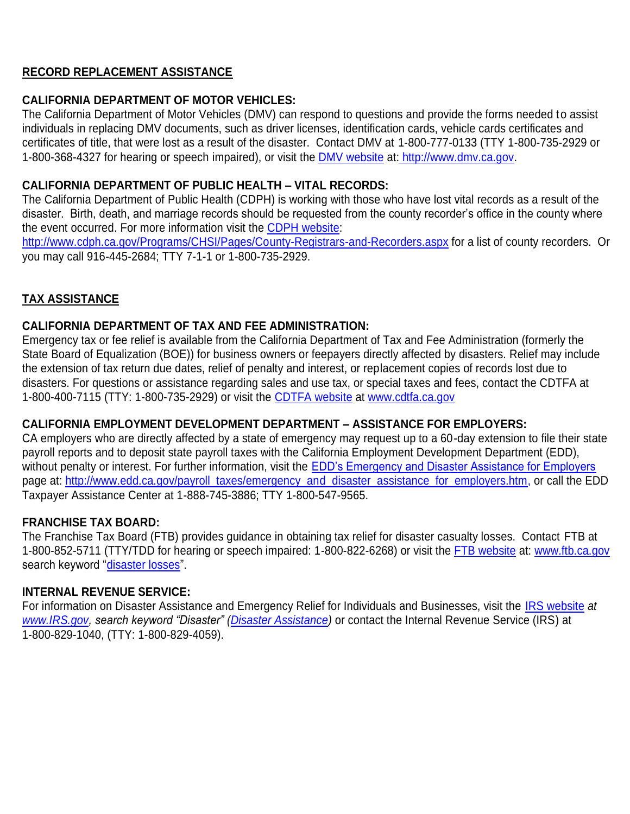# **RECORD REPLACEMENT ASSISTANCE**

# **CALIFORNIA DEPARTMENT OF MOTOR VEHICLES:**

The California Department of Motor Vehicles (DMV) can respond to questions and provide the forms needed to assist individuals in replacing DMV documents, such as driver licenses, identification cards, vehicle cards certificates and certificates of title, that were lost as a result of the disaster. Contact DMV at 1-800-777-0133 (TTY 1-800-735-2929 or 1-800-368-4327 for hearing or speech impaired), or visit the [DMV website](http://www.dmv.ca.gov/) at: [http://www.dmv.ca.gov.](http://www.dmv.ca.gov/)

## **CALIFORNIA DEPARTMENT OF PUBLIC HEALTH – VITAL RECORDS:**

The California Department of Public Health (CDPH) is working with those who have lost vital records as a result of the disaster. Birth, death, and marriage records should be requested from the county recorder's office in the county where the event occurred. For more information visit the [CDPH website:](http://www.cdph.ca.gov/Programs/CHSI/Pages/County-Registrars-and-Recorders.aspx)

<http://www.cdph.ca.gov/Programs/CHSI/Pages/County-Registrars-and-Recorders.aspx> for a list of county recorders. Or you may call 916-445-2684; TTY 7-1-1 or 1-800-735-2929.

# **TAX ASSISTANCE**

## **CALIFORNIA DEPARTMENT OF TAX AND FEE ADMINISTRATION:**

Emergency tax or fee relief is available from the California Department of Tax and Fee Administration (formerly the State Board of Equalization (BOE)) for business owners or feepayers directly affected by disasters. Relief may include the extension of tax return due dates, relief of penalty and interest, or replacement copies of records lost due to disasters. For questions or assistance regarding sales and use tax, or special taxes and fees, contact the CDTFA at 1-800-400-7115 (TTY: 1-800-735-2929) or visit the [CDTFA website](http://www.cdtfa.ca.gov/) at [www.cdtfa.ca.gov](https://na01.safelinks.protection.outlook.com/?url=http%3A%2F%2Fwww.cdtfa.ca.gov&data=02%7C01%7CKatrina.Palomar%40caloes.ca.gov%7C7de02315c5d14dc0b70c08d4ca362cf3%7Cebf268ae303647149f69c9fd0e9dc6b9%7C0%7C0%7C636355781426343430&sdata=ueD%2F4BLG8bJLGEvKPBDecEdU7KZJs2NbgRTUT%2F1kwE0%3D&reserved=0)

# **CALIFORNIA EMPLOYMENT DEVELOPMENT DEPARTMENT – ASSISTANCE FOR EMPLOYERS:**

CA employers who are directly affected by a state of emergency may request up to a 60-day extension to file their state payroll reports and to deposit state payroll taxes with the California Employment Development Department (EDD), without penalty or interest. For further information, visit the **EDD's Emergency and Disaster Assistance for Employers** page at: [http://www.edd.ca.gov/payroll\\_taxes/emergency\\_and\\_disaster\\_assistance\\_for\\_employers.htm,](http://www.edd.ca.gov/payroll_taxes/emergency_and_disaster_assistance_for_employers.htm) or call the EDD Taxpayer Assistance Center at 1-888-745-3886; TTY 1-800-547-9565.

## **FRANCHISE TAX BOARD:**

The Franchise Tax Board (FTB) provides guidance in obtaining tax relief for disaster casualty losses. Contact FTB at 1-800-852-5711 (TTY/TDD for hearing or speech impaired: 1-800-822-6268) or visit the [FTB website](http://www.ftb.ca.gov/) at: [www.ftb.ca.gov](http://www.ftb.ca.gov/) search keyword ["disaster losses"](https://www.ftb.ca.gov/forms/misc/1034.pdf).

## **INTERNAL REVENUE SERVICE:**

For information on Disaster Assistance and Emergency Relief for Individuals and Businesses, visit the [IRS website](http://www.irs.gov/) *at [www.IRS.gov,](http://www.irs.gov/) search keyword "Disaster" [\(Disaster Assistance\)](https://www.irs.gov/businesses/small-businesses-self-employed/disaster-assistance-and-emergency-relief-for-individuals-and-businesses-1)* or contact the Internal Revenue Service (IRS) at 1-800-829-1040, (TTY: 1-800-829-4059).